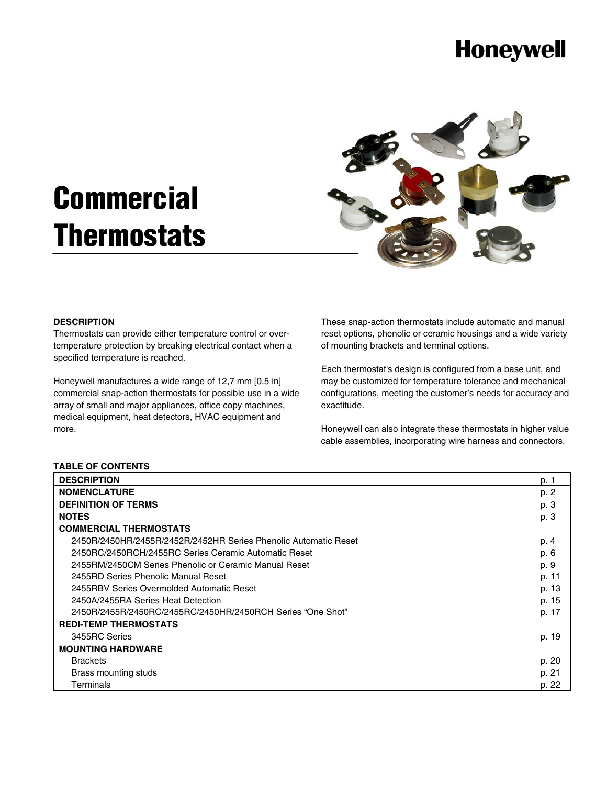## **Honeywell**

# **Commercial Thermostats**



#### **DESCRIPTION**

Thermostats can provide either temperature control or overtemperature protection by breaking electrical contact when a specified temperature is reached.

Honeywell manufactures a wide range of 12,7 mm [0.5 in] commercial snap-action thermostats for possible use in a wide array of small and major appliances, office copy machines, medical equipment, heat detectors, HVAC equipment and more.

These snap-action thermostats include automatic and manual reset options, phenolic or ceramic housings and a wide variety of mounting brackets and terminal options.

Each thermostat's design is configured from a base unit, and may be customized for temperature tolerance and mechanical configurations, meeting the customer's needs for accuracy and exactitude.

Honeywell can also integrate these thermostats in higher value cable assemblies, incorporating wire harness and connectors.

#### **TABLE OF CONTENTS**

| <b>DESCRIPTION</b>                                              | p. 1  |
|-----------------------------------------------------------------|-------|
| <b>NOMENCLATURE</b>                                             | p. 2  |
| <b>DEFINITION OF TERMS</b>                                      | p. 3  |
| <b>NOTES</b>                                                    | p. 3  |
| <b>COMMERCIAL THERMOSTATS</b>                                   |       |
| 2450R/2450HR/2455R/2452R/2452HR Series Phenolic Automatic Reset | p. 4  |
| 2450RC/2450RCH/2455RC Series Ceramic Automatic Reset            | p. 6  |
| 2455RM/2450CM Series Phenolic or Ceramic Manual Reset           | p. 9  |
| 2455RD Series Phenolic Manual Reset                             | p. 11 |
| 2455RBV Series Overmolded Automatic Reset                       | p. 13 |
| 2450A/2455RA Series Heat Detection                              | p. 15 |
| 2450R/2455R/2450RC/2455RC/2450HR/2450RCH Series "One Shot"      | p. 17 |
| <b>REDI-TEMP THERMOSTATS</b>                                    |       |
| 3455RC Series                                                   | p. 19 |
| <b>MOUNTING HARDWARE</b>                                        |       |
| <b>Brackets</b>                                                 | p. 20 |
| Brass mounting studs                                            | p. 21 |
| Terminals                                                       | p. 22 |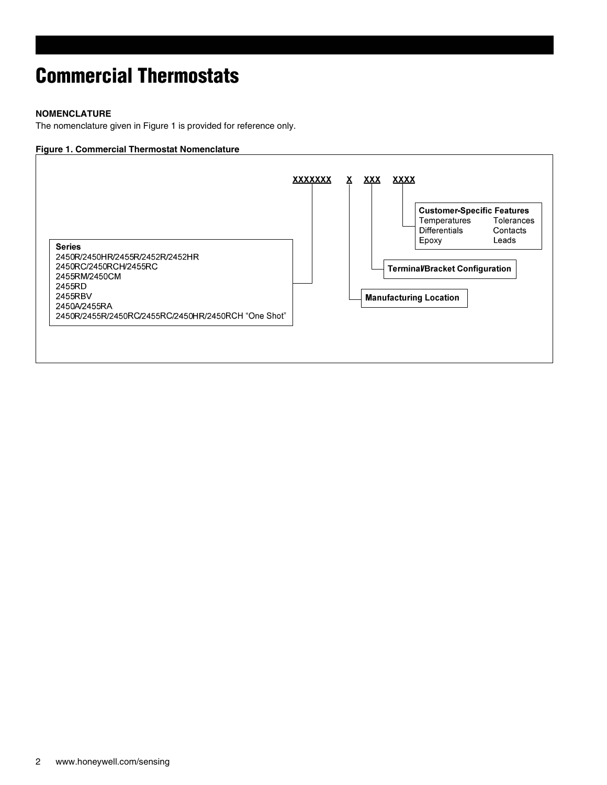#### **NOMENCLATURE**

The nomenclature given in Figure 1 is provided for reference only.

#### **Figure 1. Commercial Thermostat Nomenclature**

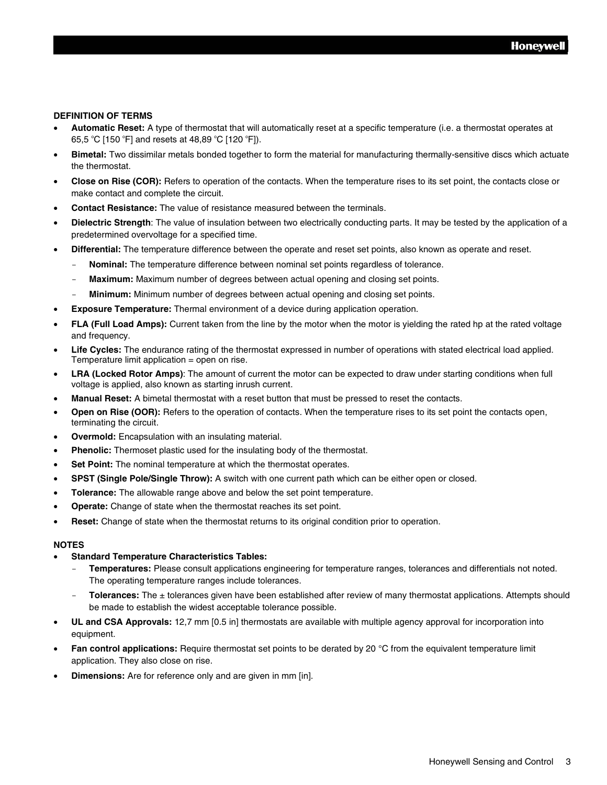#### **DEFINITION OF TERMS**

- **Automatic Reset:** A type of thermostat that will automatically reset at a specific temperature (i.e. a thermostat operates at 65,5 °C [150 °F] and resets at 48,89 °C [120 °F]).
- **Bimetal:** Two dissimilar metals bonded together to form the material for manufacturing thermally-sensitive discs which actuate the thermostat.
- **Close on Rise (COR):** Refers to operation of the contacts. When the temperature rises to its set point, the contacts close or make contact and complete the circuit.
- **Contact Resistance:** The value of resistance measured between the terminals.
- **Dielectric Strength**: The value of insulation between two electrically conducting parts. It may be tested by the application of a predetermined overvoltage for a specified time.
- **Differential:** The temperature difference between the operate and reset set points, also known as operate and reset.
	- **Nominal:** The temperature difference between nominal set points regardless of tolerance.
	- **Maximum:** Maximum number of degrees between actual opening and closing set points.
	- **Minimum:** Minimum number of degrees between actual opening and closing set points.
- **Exposure Temperature:** Thermal environment of a device during application operation.
- **FLA (Full Load Amps):** Current taken from the line by the motor when the motor is yielding the rated hp at the rated voltage and frequency.
- **Life Cycles:** The endurance rating of the thermostat expressed in number of operations with stated electrical load applied. Temperature limit application = open on rise.
- **LRA (Locked Rotor Amps)**: The amount of current the motor can be expected to draw under starting conditions when full voltage is applied, also known as starting inrush current.
- **Manual Reset:** A bimetal thermostat with a reset button that must be pressed to reset the contacts.
- **Open on Rise (OOR):** Refers to the operation of contacts. When the temperature rises to its set point the contacts open, terminating the circuit.
- **Overmold:** Encapsulation with an insulating material.
- **Phenolic:** Thermoset plastic used for the insulating body of the thermostat.
- **Set Point:** The nominal temperature at which the thermostat operates.
- **SPST (Single Pole/Single Throw):** A switch with one current path which can be either open or closed.
- **Tolerance:** The allowable range above and below the set point temperature.
- **Operate:** Change of state when the thermostat reaches its set point.
- **Reset:** Change of state when the thermostat returns to its original condition prior to operation.

#### **NOTES**

#### • **Standard Temperature Characteristics Tables:**

- **Temperatures:** Please consult applications engineering for temperature ranges, tolerances and differentials not noted. The operating temperature ranges include tolerances.
- **Tolerances:** The ± tolerances given have been established after review of many thermostat applications. Attempts should be made to establish the widest acceptable tolerance possible.
- **UL and CSA Approvals:** 12,7 mm [0.5 in] thermostats are available with multiple agency approval for incorporation into equipment.
- **Fan control applications:** Require thermostat set points to be derated by 20 °C from the equivalent temperature limit application. They also close on rise.
- **Dimensions:** Are for reference only and are given in mm [in].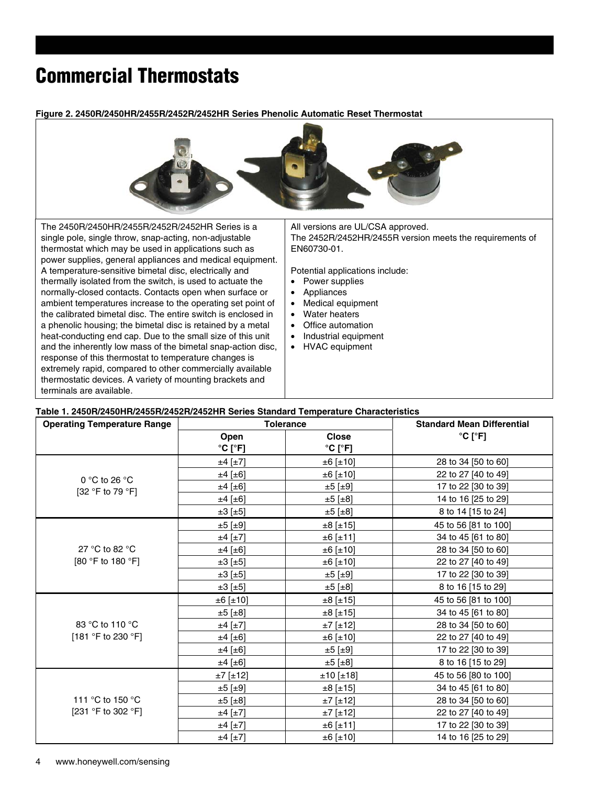**Figure 2. 2450R/2450HR/2455R/2452R/2452HR Series Phenolic Automatic Reset Thermostat** 



The 2450R/2450HR/2455R/2452R/2452HR Series is a single pole, single throw, snap-acting, non-adjustable thermostat which may be used in applications such as power supplies, general appliances and medical equipment. A temperature-sensitive bimetal disc, electrically and thermally isolated from the switch, is used to actuate the normally-closed contacts. Contacts open when surface or ambient temperatures increase to the operating set point of the calibrated bimetal disc. The entire switch is enclosed in a phenolic housing; the bimetal disc is retained by a metal heat-conducting end cap. Due to the small size of this unit and the inherently low mass of the bimetal snap-action disc, response of this thermostat to temperature changes is extremely rapid, compared to other commercially available thermostatic devices. A variety of mounting brackets and terminals are available.

All versions are UL/CSA approved. The 2452R/2452HR/2455R version meets the requirements of EN60730-01.

Potential applications include:

- Power supplies
- **Appliances**
- Medical equipment
- **Water heaters**
- Office automation
- Industrial equipment
- HVAC equipment

#### **Table 1. 2450R/2450HR/2455R/2452R/2452HR Series Standard Temperature Characteristics**

| <b>Operating Temperature Range</b> | <b>Tolerance</b>             |                              | <b>Standard Mean Differential</b> |
|------------------------------------|------------------------------|------------------------------|-----------------------------------|
|                                    | Open                         | <b>Close</b>                 | $^{\circ}$ C [ $^{\circ}$ F]      |
|                                    | $^{\circ}$ C [ $^{\circ}$ F] | $^{\circ}$ C [ $^{\circ}$ F] |                                   |
|                                    | $±4$ [ $±7$ ]                | ±6 [±10]                     | 28 to 34 [50 to 60]               |
| 0 °C to 26 °C                      | $±4$ [ $±6$ ]                | ±6 [±10]                     | 22 to 27 [40 to 49]               |
| [32 °F to 79 °F]                   | $±4$ [ $±6$ ]                | $\pm 5$ [ $\pm 9$ ]          | 17 to 22 [30 to 39]               |
|                                    | $±4$ [ $±6$ ]                | ±5 [±8]                      | 14 to 16 [25 to 29]               |
|                                    | ±3 [±5]                      | $\pm 5$ [ $\pm 8$ ]          | 8 to 14 [15 to 24]                |
|                                    | $±5$ [±9]                    | ±8 [±15]                     | 45 to 56 [81 to 100]              |
|                                    | $±4$ [ $±7$ ]                | ±6 [±11]                     | 34 to 45 [61 to 80]               |
| 27 °C to 82 °C                     | $±4$ [ $±6$ ]                | ±6 [±10]                     | 28 to 34 [50 to 60]               |
| [80 °F to 180 °F]                  | $\pm 3$ [ $\pm 5$ ]          | ±6 [±10]                     | 22 to 27 [40 to 49]               |
|                                    | $\pm 3$ [ $\pm 5$ ]          | $±5$ [±9]                    | 17 to 22 [30 to 39]               |
|                                    | $\pm 3$ [ $\pm 5$ ]          | $\pm 5$ [ $\pm 8$ ]          | 8 to 16 [15 to 29]                |
|                                    | ±6 [±10]                     | ±8 [±15]                     | 45 to 56 [81 to 100]              |
|                                    | $±5$ [ $±8$ ]                | ±8 [±15]                     | 34 to 45 [61 to 80]               |
| 83 °C to 110 °C                    | $±4$ [ $±7$ ]                | $±7$ [±12]                   | 28 to 34 [50 to 60]               |
| [181 °F to 230 °F]                 | $±4$ [ $±6$ ]                | ±6 [±10]                     | 22 to 27 [40 to 49]               |
|                                    | $±4$ [ $±6$ ]                | $\pm 5$ [ $\pm 9$ ]          | 17 to 22 [30 to 39]               |
|                                    | $±4$ [ $±6$ ]                | ±5 [±8]                      | 8 to 16 [15 to 29]                |
|                                    | $±7$ [±12]                   | ±10 [±18]                    | 45 to 56 [80 to 100]              |
| 111 °C to 150 °C                   | $±5$ [±9]                    | ±8 [±15]                     | 34 to 45 [61 to 80]               |
|                                    | $\pm 5$ [ $\pm 8$ ]          | $±7$ [ $±12$ ]               | 28 to 34 [50 to 60]               |
| [231 °F to 302 °F]                 | $±4$ [ $±7$ ]                | $±7$ [±12]                   | 22 to 27 [40 to 49]               |
|                                    | $±4$ [±7]                    | ±6 [±11]                     | 17 to 22 [30 to 39]               |
|                                    | $±4$ [ $±7$ ]                | ±6 [±10]                     | 14 to 16 [25 to 29]               |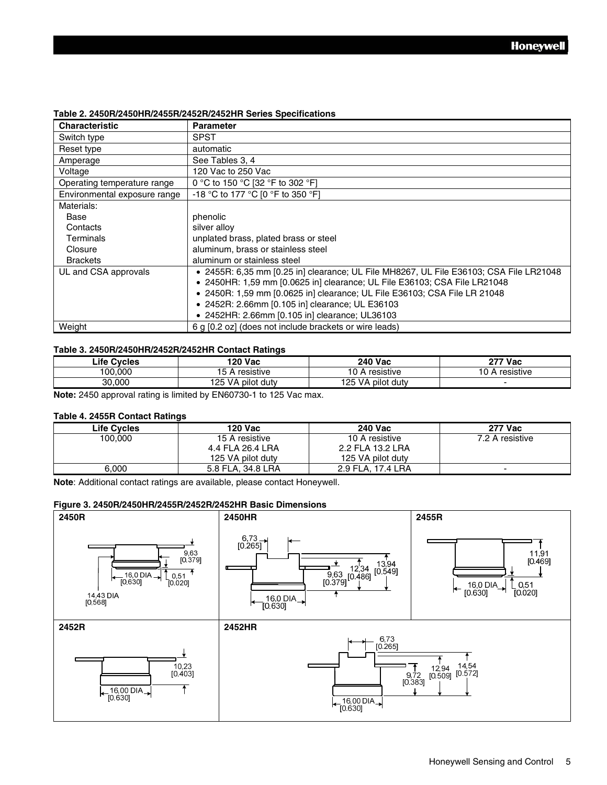| <b>Characteristic</b>        | <b>Parameter</b>                                                                       |
|------------------------------|----------------------------------------------------------------------------------------|
| Switch type                  | <b>SPST</b>                                                                            |
| Reset type                   | automatic                                                                              |
| Amperage                     | See Tables 3, 4                                                                        |
| Voltage                      | 120 Vac to 250 Vac                                                                     |
| Operating temperature range  | 0 °C to 150 °C [32 °F to 302 °F]                                                       |
| Environmental exposure range | -18 °C to 177 °C [0 °F to 350 °F]                                                      |
| Materials:                   |                                                                                        |
| Base                         | phenolic                                                                               |
| Contacts                     | silver alloy                                                                           |
| Terminals                    | unplated brass, plated brass or steel                                                  |
| Closure                      | aluminum, brass or stainless steel                                                     |
| <b>Brackets</b>              | aluminum or stainless steel                                                            |
| UL and CSA approvals         | • 2455R: 6,35 mm [0.25 in] clearance; UL File MH8267, UL File E36103; CSA File LR21048 |
|                              | • 2450HR: 1,59 mm [0.0625 in] clearance; UL File E36103; CSA File LR21048              |
|                              | • 2450R: 1,59 mm [0.0625 in] clearance; UL File E36103; CSA File LR 21048              |
|                              | • 2452R: 2.66mm [0.105 in] clearance; UL E36103                                        |
|                              | • 2452HR: 2.66mm [0.105 in] clearance; UL36103                                         |
| Weight                       | 6 g [0.2 oz] (does not include brackets or wire leads)                                 |

#### **Table 2. 2450R/2450HR/2455R/2452R/2452HR Series Specifications**

#### **Table 3. 2450R/2450HR/2452R/2452HR Contact Ratings**

| _ife<br><b>Cycles</b> | 120 Vac                 | <b>240 Vac</b>                        | י 777 Vac              |
|-----------------------|-------------------------|---------------------------------------|------------------------|
| 100.000               | 15<br>resistive<br>,    | resistive<br>$\overline{\phantom{a}}$ | . .<br>resistive<br>١U |
| 30.000                | V٨<br>125<br>pilot dutv | 125<br>dutv<br>. pilot<br>۷A          |                        |

**Note:** 2450 approval rating is limited by EN60730-1 to 125 Vac max.

#### **Table 4. 2455R Contact Ratings**

| <b>Life Cycles</b> | <b>120 Vac</b>    | <b>240 Vac</b>    | <b>277 Vac</b>  |
|--------------------|-------------------|-------------------|-----------------|
| 100.000            | 15 A resistive    | 10 A resistive    | 7.2 A resistive |
|                    | 4.4 FLA 26.4 LRA  | 2.2 FLA 13.2 LRA  |                 |
|                    | 125 VA pilot duty | 125 VA pilot duty |                 |
| 6.000              | 5.8 FLA. 34.8 LRA | 2.9 FLA. 17.4 LRA | -               |

**Note**: Additional contact ratings are available, please contact Honeywell.

#### **Figure 3. 2450R/2450HR/2455R/2452R/2452HR Basic Dimensions**

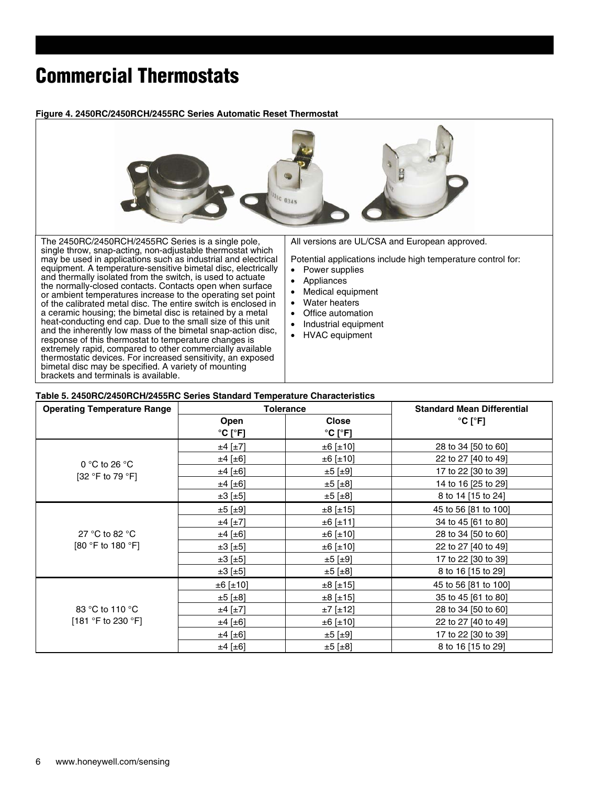#### **Figure 4. 2450RC/2450RCH/2455RC Series Automatic Reset Thermostat**



#### **Table 5. 2450RC/2450RCH/2455RC Series Standard Temperature Characteristics**

| <b>Operating Temperature Range</b>    | <b>Tolerance</b>             |                              | <b>Standard Mean Differential</b> |
|---------------------------------------|------------------------------|------------------------------|-----------------------------------|
|                                       | Open                         | <b>Close</b>                 | $^{\circ}$ C [ $^{\circ}$ F]      |
|                                       | $^{\circ}$ C [ $^{\circ}$ F] | $^{\circ}$ C [ $^{\circ}$ F] |                                   |
|                                       | $±4$ [±7]                    | ±6 [±10]                     | 28 to 34 [50 to 60]               |
| 0 °C to 26 °C                         | $±4$ [ $±6$ ]                | ±6 [±10]                     | 22 to 27 [40 to 49]               |
| [32 °F to 79 °F]                      | $±4$ [ $±6$ ]                | ±5 [±9]                      | 17 to 22 [30 to 39]               |
|                                       | $±4$ [±6]                    | $\pm 5$ [ $\pm 8$ ]          | 14 to 16 [25 to 29]               |
|                                       | $\pm 3$ [ $\pm 5$ ]          | ±5 [±8]                      | 8 to 14 [15 to 24]                |
| 27 °C to 82 °C<br>[80 °F to 180 °F]   | $\pm 5$ [ $\pm 9$ ]          | ±8 [±15]                     | 45 to 56 [81 to 100]              |
|                                       | $±4$ [ $±7$ ]                | ±6 [±11]                     | 34 to 45 [61 to 80]               |
|                                       | $±4$ [±6]                    | ±6 [±10]                     | 28 to 34 [50 to 60]               |
|                                       | ±3 [±5]                      | ±6 [±10]                     | 22 to 27 [40 to 49]               |
|                                       | ±3 [±5]                      | ±5 [±9]                      | 17 to 22 [30 to 39]               |
|                                       | $\pm 3$ [ $\pm 5$ ]          | ±5 [±8]                      | 8 to 16 [15 to 29]                |
|                                       | ±6 [±10]                     | ±8 [±15]                     | 45 to 56 [81 to 100]              |
| 83 °C to 110 °C<br>[181 °F to 230 °F] | ±5 [±8]                      | ±8 [±15]                     | 35 to 45 [61 to 80]               |
|                                       | $±4$ [ $±7$ ]                | $±7$ [±12]                   | 28 to 34 [50 to 60]               |
|                                       | $±4$ [±6]                    | ±6 [±10]                     | 22 to 27 [40 to 49]               |
|                                       | $±4$ [ $±6$ ]                | ±5 [±9]                      | 17 to 22 [30 to 39]               |
|                                       | $±4$ [ $±6$ ]                | ±5 [±8]                      | 8 to 16 [15 to 29]                |

brackets and terminals is available.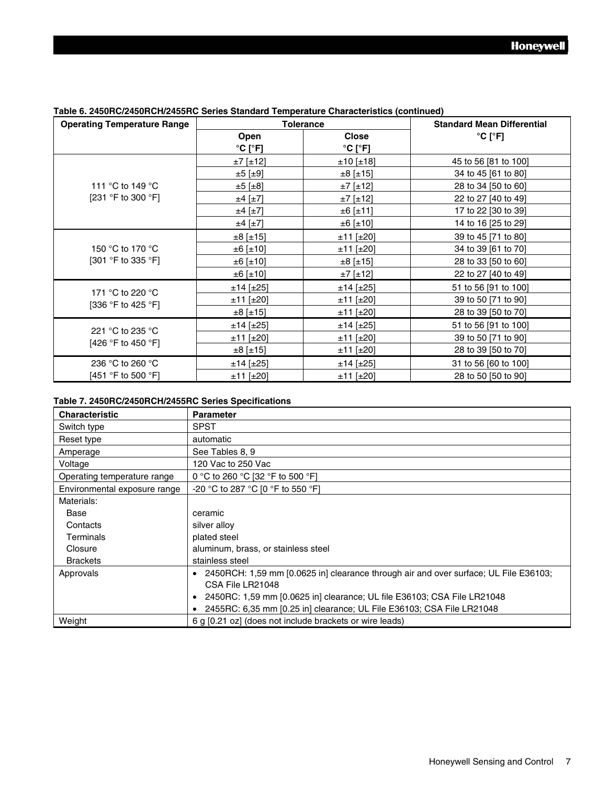| <b>Operating Temperature Range</b>     | <b>Tolerance</b>             |                              | <b>Standard Mean Differential</b> |
|----------------------------------------|------------------------------|------------------------------|-----------------------------------|
|                                        | Open                         | <b>Close</b>                 | $^{\circ}$ C [ $^{\circ}$ F]      |
|                                        | $^{\circ}$ C [ $^{\circ}$ F] | $^{\circ}$ C [ $^{\circ}$ F] |                                   |
|                                        | ±7 [±12]                     | ±10 [±18]                    | 45 to 56 [81 to 100]              |
|                                        | ±5 [±9]                      | ±8 [±15]                     | 34 to 45 [61 to 80]               |
| 111 °C to 149 °C                       | $\pm 5$ [ $\pm 8$ ]          | $±7$ [±12]                   | 28 to 34 [50 to 60]               |
| [231 °F to 300 °F]                     | $±4$ [ $±7$ ]                | $±7$ [±12]                   | 22 to 27 [40 to 49]               |
|                                        | $±4$ [ $±7$ ]                | ±6 [±11]                     | 17 to 22 [30 to 39]               |
|                                        | $±4$ [ $±7$ ]                | ±6 [±10]                     | 14 to 16 [25 to 29]               |
|                                        | ±8 [±15]                     | $±11$ [±20]                  | 39 to 45 [71 to 80]               |
| 150 °C to 170 °C                       | ±6 [±10]                     | $±11$ [±20]                  | 34 to 39 [61 to 70]               |
| [301 °F to 335 °F]                     | ±6 [±10]                     | ±8 [±15]                     | 28 to 33 [50 to 60]               |
|                                        | ±6 [±10]                     | $±7$ [±12]                   | 22 to 27 [40 to 49]               |
| 171 °C to 220 °C                       | $±14$ [±25]                  | ±14 [±25]                    | 51 to 56 [91 to 100]              |
| [336 °F to 425 °F]                     | $±11$ [±20]                  | $±11$ [±20]                  | 39 to 50 [71 to 90]               |
|                                        | ±8 [±15]                     | $±11$ [±20]                  | 28 to 39 [50 to 70]               |
| 221 °C to 235 °C<br>[426 °F to 450 °F] | $±14$ [±25]                  | ±14 [±25]                    | 51 to 56 [91 to 100]              |
|                                        | $±11$ [±20]                  | $±11$ [±20]                  | 39 to 50 [71 to 90]               |
|                                        | $±8$ [±15]                   | $±11$ [±20]                  | 28 to 39 [50 to 70]               |
| 236 °C to 260 °C                       | $±14$ [ $±25$ ]              | ±14 [±25]                    | 31 to 56 [60 to 100]              |
| [451 °F to 500 °F]                     | $±11$ [±20]                  | ±11 [±20]                    | 28 to 50 [50 to 90]               |

#### **Table 6. 2450RC/2450RCH/2455RC Series Standard Temperature Characteristics (continued)**

#### **Table 7. 2450RC/2450RCH/2455RC Series Specifications**

| <b>Characteristic</b>        | <b>Parameter</b>                                                                       |
|------------------------------|----------------------------------------------------------------------------------------|
| Switch type                  | <b>SPST</b>                                                                            |
| Reset type                   | automatic                                                                              |
| Amperage                     | See Tables 8, 9                                                                        |
| Voltage                      | 120 Vac to 250 Vac                                                                     |
| Operating temperature range  | 0 °C to 260 °C [32 °F to 500 °F]                                                       |
| Environmental exposure range | -20 °C to 287 °C [0 °F to 550 °F]                                                      |
| Materials:                   |                                                                                        |
| Base                         | ceramic                                                                                |
| Contacts                     | silver alloy                                                                           |
| Terminals                    | plated steel                                                                           |
| Closure                      | aluminum, brass, or stainless steel                                                    |
| <b>Brackets</b>              | stainless steel                                                                        |
| Approvals                    | • 2450RCH: 1,59 mm [0.0625 in] clearance through air and over surface; UL File E36103; |
|                              | CSA File LR21048                                                                       |
|                              | 2450RC: 1,59 mm [0.0625 in] clearance; UL file E36103; CSA File LR21048                |
|                              | 2455RC: 6,35 mm [0.25 in] clearance; UL File E36103; CSA File LR21048                  |
| Weight                       | 6 g [0.21 oz] (does not include brackets or wire leads)                                |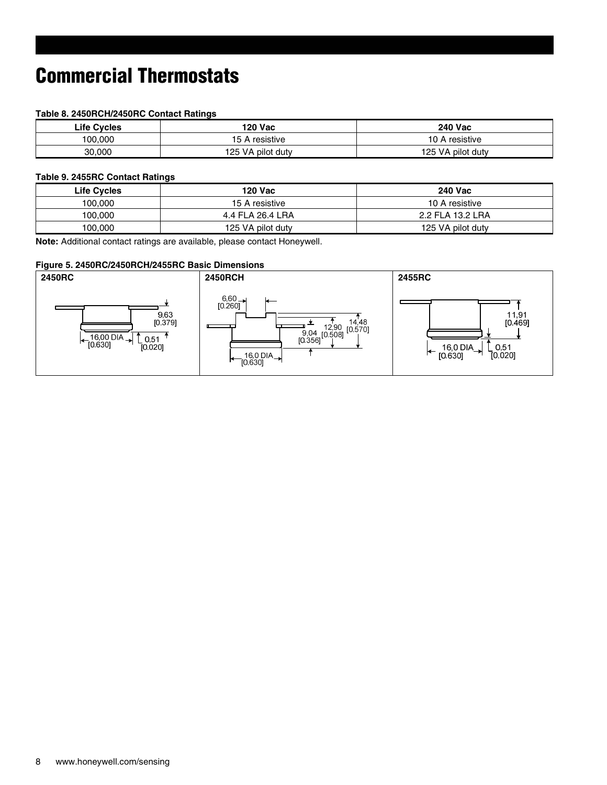#### **Table 8. 2450RCH/2450RC Contact Ratings**

| Life Cvcles | <b>120 Vac</b>    | <b>240 Vac</b>      |
|-------------|-------------------|---------------------|
| 100.000     | 15 A resistive    | resistive ،<br>10 A |
| 30,000      | 125 VA pilot duty | 125 VA pilot duty   |

#### **Table 9. 2455RC Contact Ratings**

| <b>Life Cycles</b> | 120 Vac           | <b>240 Vac</b>    |
|--------------------|-------------------|-------------------|
| 100.000            | 15 A resistive    | 10 A resistive    |
| 100.000            | 4.4 FLA 26.4 LRA  | 2.2 FLA 13.2 LRA  |
| 100.000            | 125 VA pilot duty | 125 VA pilot duty |

**Note:** Additional contact ratings are available, please contact Honeywell.

#### **Figure 5. 2450RC/2450RCH/2455RC Basic Dimensions**

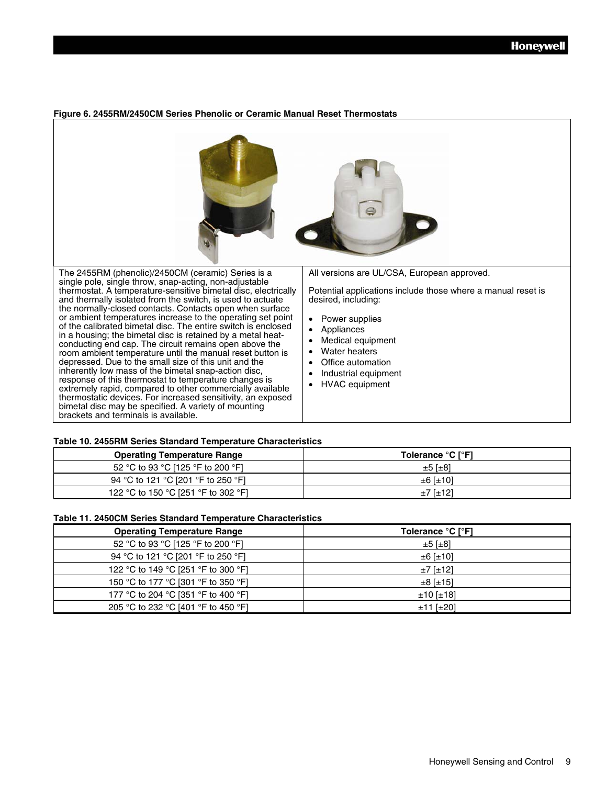#### **Figure 6. 2455RM/2450CM Series Phenolic or Ceramic Manual Reset Thermostats**



#### **Table 10. 2455RM Series Standard Temperature Characteristics**

| <b>Operating Temperature Range</b>  | Tolerance °C I°F1   |
|-------------------------------------|---------------------|
| 52 °C to 93 °C [125 °F to 200 °F]   | $\pm 5$ [ $\pm 8$ ] |
| 94 °C to 121 °C [201 °F to 250 °F]  | $±6$ [ $±10$ ]      |
| 122 °C to 150 °C [251 °F to 302 °F] | $±7$ [ $±12$ ]      |

#### **Table 11. 2450CM Series Standard Temperature Characteristics**

| <b>Operating Temperature Range</b>  | Tolerance °C [°F]   |
|-------------------------------------|---------------------|
| 52 °C to 93 °C [125 °F to 200 °F]   | $\pm 5$ [ $\pm 8$ ] |
| 94 °C to 121 °C [201 °F to 250 °F]  | $±6$ [ $±10$ ]      |
| 122 °C to 149 °C [251 °F to 300 °F] | $±7$ [ $±12$ ]      |
| 150 °C to 177 °C [301 °F to 350 °F] | $±8$ [ $±15$ ]      |
| 177 °C to 204 °C [351 °F to 400 °F] | $±10$ [ $±18$ ]     |
| 205 °C to 232 °C [401 °F to 450 °F] | $±11$ [ $±20$ ]     |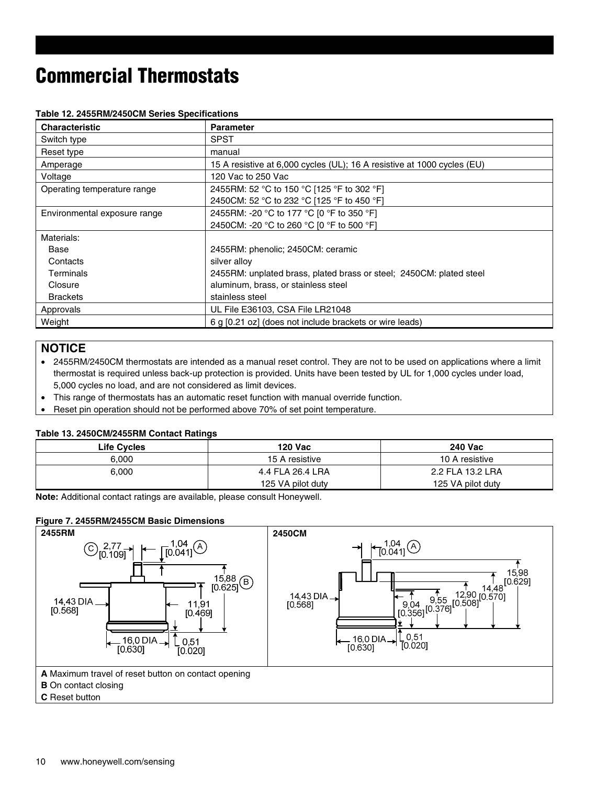| <b>Characteristic</b>        | <b>Parameter</b>                                                        |
|------------------------------|-------------------------------------------------------------------------|
| Switch type                  | <b>SPST</b>                                                             |
| Reset type                   | manual                                                                  |
| Amperage                     | 15 A resistive at 6,000 cycles (UL); 16 A resistive at 1000 cycles (EU) |
| Voltage                      | 120 Vac to 250 Vac                                                      |
| Operating temperature range  | 2455RM: 52 °C to 150 °C [125 °F to 302 °F]                              |
|                              | 2450CM: 52 °C to 232 °C [125 °F to 450 °F]                              |
| Environmental exposure range | 2455RM: -20 °C to 177 °C [0 °F to 350 °F]                               |
|                              | 2450CM: -20 °C to 260 °C [0 °F to 500 °F]                               |
| Materials:                   |                                                                         |
| Base                         | 2455RM: phenolic; 2450CM: ceramic                                       |
| Contacts                     | silver alloy                                                            |
| Terminals                    | 2455RM: unplated brass, plated brass or steel; 2450CM: plated steel     |
| Closure                      | aluminum, brass, or stainless steel                                     |
| <b>Brackets</b>              | stainless steel                                                         |
| Approvals                    | UL File E36103, CSA File LR21048                                        |
| Weight                       | 6 g [0.21 oz] (does not include brackets or wire leads)                 |

#### **Table 12. 2455RM/2450CM Series Specifications**

#### **NOTICE**

• 2455RM/2450CM thermostats are intended as a manual reset control. They are not to be used on applications where a limit thermostat is required unless back-up protection is provided. Units have been tested by UL for 1,000 cycles under load, 5,000 cycles no load, and are not considered as limit devices.

- This range of thermostats has an automatic reset function with manual override function.
- Reset pin operation should not be performed above 70% of set point temperature.

#### **Table 13. 2450CM/2455RM Contact Ratings**

| <b>Life Cycles</b> | 120 Vac           | <b>240 Vac</b>    |
|--------------------|-------------------|-------------------|
| 6.000              | 15 A resistive    | 10 A resistive    |
| 6.000              | 4.4 FLA 26.4 LRA  | 2.2 FLA 13.2 LRA  |
|                    | 125 VA pilot duty | 125 VA pilot duty |

**Note:** Additional contact ratings are available, please consult Honeywell.

#### **Figure 7. 2455RM/2455CM Basic Dimensions**

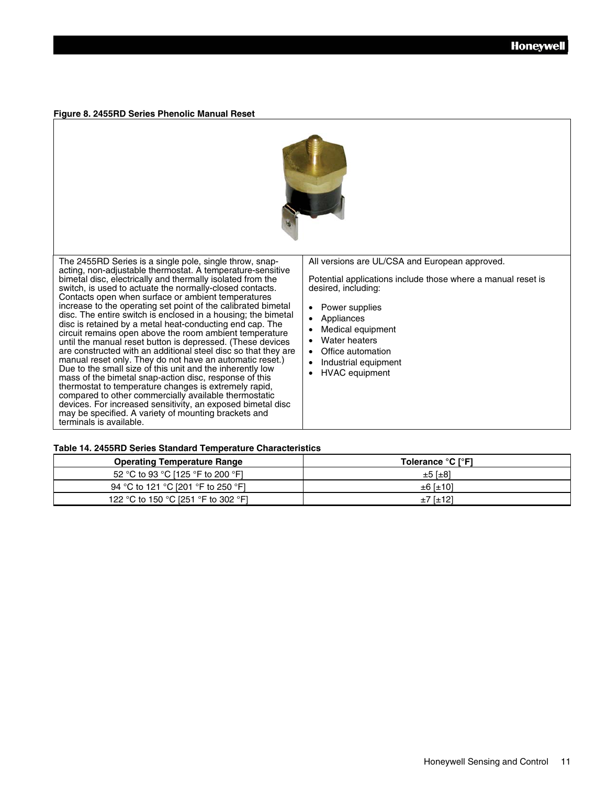#### **Figure 8. 2455RD Series Phenolic Manual Reset**



The 2455RD Series is a single pole, single throw, snapacting, non-adjustable thermostat. A temperature-sensitive bimetal disc, electrically and thermally isolated from the switch, is used to actuate the normally-closed contacts. Contacts open when surface or ambient temperatures increase to the operating set point of the calibrated bimetal disc. The entire switch is enclosed in a housing; the bimetal disc is retained by a metal heat-conducting end cap. The circuit remains open above the room ambient temperature until the manual reset button is depressed. (These devices are constructed with an additional steel disc so that they are manual reset only. They do not have an automatic reset.) Due to the small size of this unit and the inherently low mass of the bimetal snap-action disc, response of this thermostat to temperature changes is extremely rapid, compared to other commercially available thermostatic devices. For increased sensitivity, an exposed bimetal disc may be specified. A variety of mounting brackets and terminals is available.

All versions are UL/CSA and European approved.

Potential applications include those where a manual reset is desired, including:

- Power supplies
- Appliances
- Medical equipment
- **Water heaters**
- Office automation
- Industrial equipment
- HVAC equipment

#### **Table 14. 2455RD Series Standard Temperature Characteristics**

| <b>Operating Temperature Range</b>  | Tolerance °C I°F1    |
|-------------------------------------|----------------------|
| 52 °C to 93 °C [125 °F to 200 °F]   | $\pm 5$ [ $\pm 8$ ]  |
| 94 °C to 121 °C [201 °F to 250 °F]  | $\pm 6$ [ $\pm 10$ ] |
| 122 °C to 150 °C [251 °F to 302 °F] | $±7$ [ $±12$ ]       |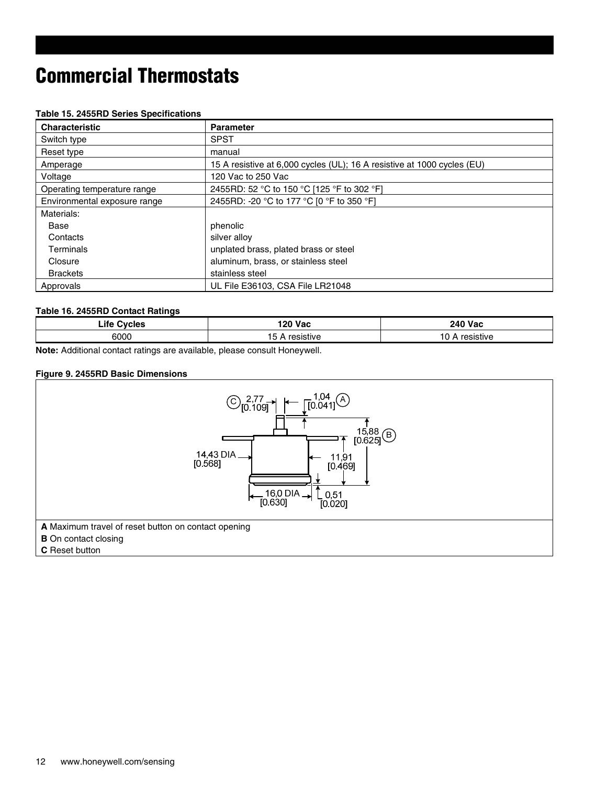#### **Table 15. 2455RD Series Specifications**

| <b>Characteristic</b>        | <b>Parameter</b>                                                        |
|------------------------------|-------------------------------------------------------------------------|
| Switch type                  | <b>SPST</b>                                                             |
| Reset type                   | manual                                                                  |
| Amperage                     | 15 A resistive at 6,000 cycles (UL); 16 A resistive at 1000 cycles (EU) |
| Voltage                      | 120 Vac to 250 Vac                                                      |
| Operating temperature range  | 2455RD: 52 °C to 150 °C [125 °F to 302 °F]                              |
| Environmental exposure range | 2455RD: -20 °C to 177 °C [0 °F to 350 °F]                               |
| Materials:                   |                                                                         |
| Base                         | phenolic                                                                |
| Contacts                     | silver alloy                                                            |
| Terminals                    | unplated brass, plated brass or steel                                   |
| Closure                      | aluminum, brass, or stainless steel                                     |
| <b>Brackets</b>              | stainless steel                                                         |
| Approvals                    | UL File E36103, CSA File LR21048                                        |

#### **Table 16. 2455RD Contact Ratings**

| ∟ife<br><b>Cvcles</b> | !20 Vac                      | <b>240 Vac</b> |
|-----------------------|------------------------------|----------------|
| 6000                  | . .<br>. .<br>5<br>resistive | sistive        |

**Note:** Additional contact ratings are available, please consult Honeywell.

#### **Figure 9. 2455RD Basic Dimensions**

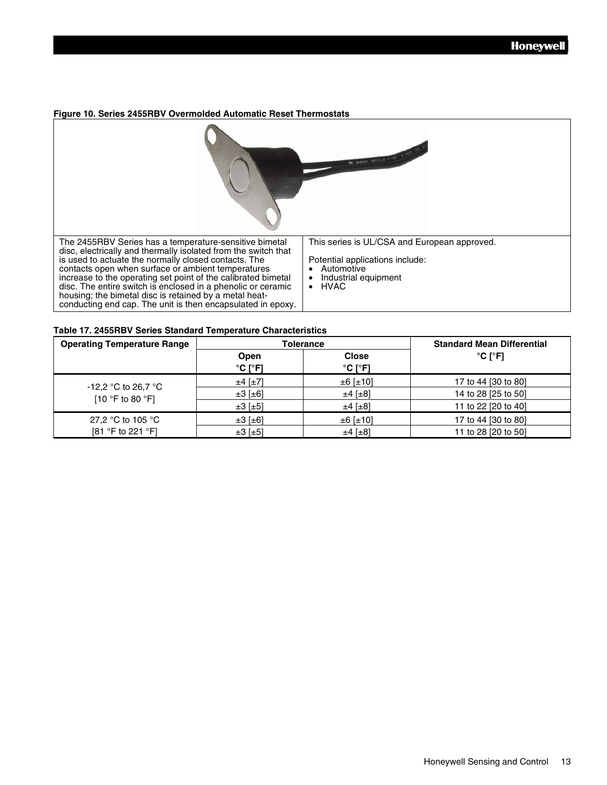#### **Figure 10. Series 2455RBV Overmolded Automatic Reset Thermostats**



#### **Table 17. 2455RBV Series Standard Temperature Characteristics**

| <b>Operating Temperature Range</b>                          | Tolerance                            |                                              | <b>Standard Mean Differential</b> |
|-------------------------------------------------------------|--------------------------------------|----------------------------------------------|-----------------------------------|
|                                                             | Open<br>$^{\circ}$ C [ $^{\circ}$ F] | <b>Close</b><br>$^{\circ}$ C [ $^{\circ}$ F] | $^{\circ}$ C [ $^{\circ}$ F]      |
|                                                             | $±4$ [ $±7$ ]                        | $±6$ [±10]                                   | 17 to 44 [30 to 80]               |
| $-12,2$ °C to 26,7 °C<br>[10 $\degree$ F to 80 $\degree$ F] | $\pm 3$ [ $\pm 6$ ]                  | $±4$ [ $±8$ ]                                | 14 to 28 [25 to 50]               |
|                                                             | $\pm 3$ [ $\pm 5$ ]                  | $±4$ [ $±8$ ]                                | 11 to 22 [20 to 40]               |
| 27,2 °C to 105 °C                                           | $\pm 3$ [ $\pm 6$ ]                  | $±6$ [±10]                                   | 17 to 44 [30 to 80]               |
| [81 °F to 221 °F]                                           | $\pm 3$ [ $\pm 5$ ]                  | $±4$ [ $±8$ ]                                | 11 to 28 [20 to 50]               |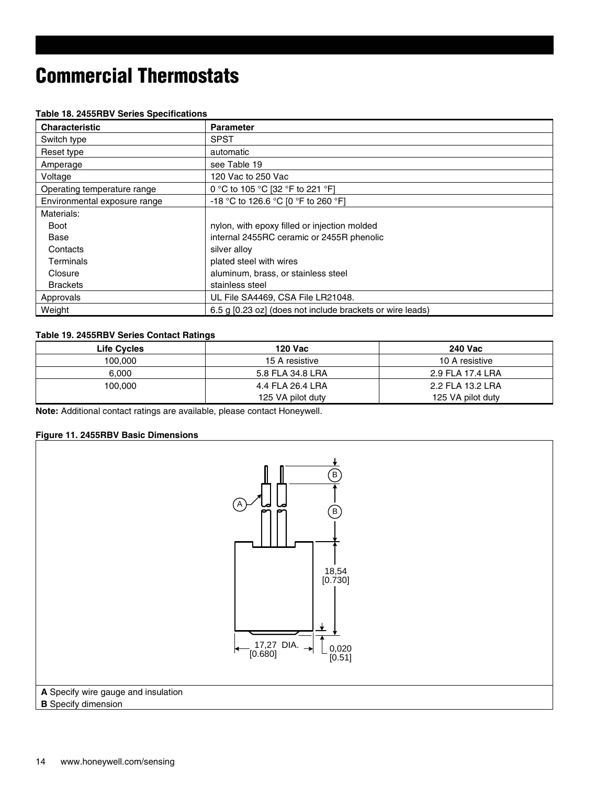|  |  |  | Table 18. 2455RBV Series Specifications |
|--|--|--|-----------------------------------------|
|--|--|--|-----------------------------------------|

| <b>Characteristic</b>        | <b>Parameter</b>                                          |
|------------------------------|-----------------------------------------------------------|
| Switch type                  | <b>SPST</b>                                               |
| Reset type                   | automatic                                                 |
| Amperage                     | see Table 19                                              |
| Voltage                      | 120 Vac to 250 Vac                                        |
| Operating temperature range  | 0 °C to 105 °C [32 °F to 221 °F]                          |
| Environmental exposure range | -18 °C to 126.6 °C [0 °F to 260 °F]                       |
| Materials:                   |                                                           |
| Boot                         | nylon, with epoxy filled or injection molded              |
| Base                         | internal 2455RC ceramic or 2455R phenolic                 |
| Contacts                     | silver alloy                                              |
| Terminals                    | plated steel with wires                                   |
| Closure                      | aluminum, brass, or stainless steel                       |
| <b>Brackets</b>              | stainless steel                                           |
| Approvals                    | UL File SA4469, CSA File LR21048.                         |
| Weight                       | 6.5 g [0.23 oz] (does not include brackets or wire leads) |

#### **Table 19. 2455RBV Series Contact Ratings**

| <b>Life Cycles</b> | <b>120 Vac</b>    | <b>240 Vac</b>    |
|--------------------|-------------------|-------------------|
| 100,000            | 15 A resistive    | 10 A resistive    |
| 6.000              | 5.8 FLA 34.8 LRA  | 2.9 FLA 17.4 LRA  |
| 100,000            | 4.4 FLA 26.4 LRA  | 2.2 FLA 13.2 LRA  |
|                    | 125 VA pilot duty | 125 VA pilot duty |

**Note:** Additional contact ratings are available, please contact Honeywell.

#### **Figure 11. 2455RBV Basic Dimensions**

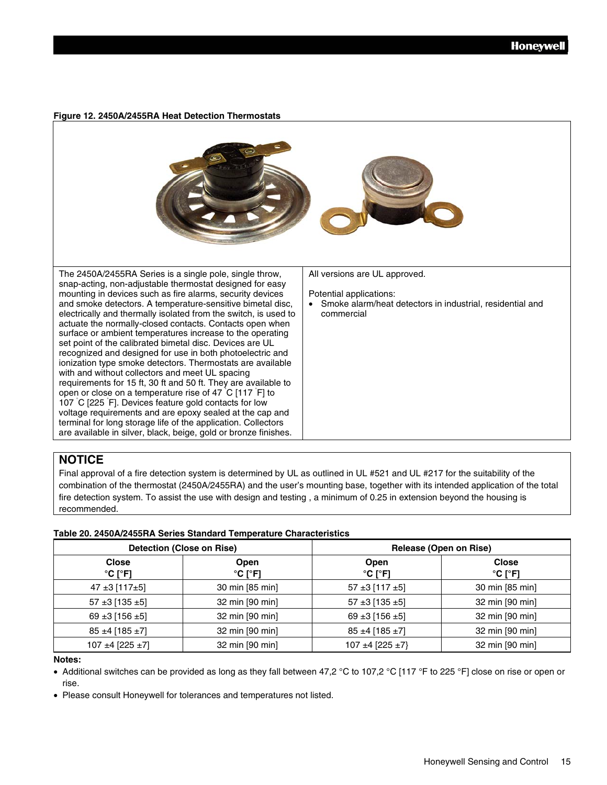**Figure 12. 2450A/2455RA Heat Detection Thermostats** 



#### **NOTICE**

Final approval of a fire detection system is determined by UL as outlined in UL #521 and UL #217 for the suitability of the combination of the thermostat (2450A/2455RA) and the user's mounting base, together with its intended application of the total fire detection system. To assist the use with design and testing , a minimum of 0.25 in extension beyond the housing is recommended.

#### **Table 20. 2450A/2455RA Series Standard Temperature Characteristics**

|                                              | <b>Detection (Close on Rise)</b>     |                                      | Release (Open on Rise)                       |
|----------------------------------------------|--------------------------------------|--------------------------------------|----------------------------------------------|
| <b>Close</b><br>$^{\circ}$ C [ $^{\circ}$ F] | Open<br>$^{\circ}$ C [ $^{\circ}$ F] | Open<br>$^{\circ}$ C [ $^{\circ}$ F] | <b>Close</b><br>$^{\circ}$ C [ $^{\circ}$ F] |
| $47 \pm 3$ [117 $\pm 5$ ]                    | 30 min [85 min]                      | $57 \pm 3$ [117 $\pm 5$ ]            | 30 min [85 min]                              |
| 57 ± 3 [135 ± 5]                             | 32 min [90 min]                      | $57 \pm 3$ [135 $\pm 5$ ]            | 32 min [90 min]                              |
| 69 ± 3 [156 ± 5]                             | 32 min [90 min]                      | 69 ± 3 [156 ± 5]                     | 32 min [90 min]                              |
| $85 \pm 4$ [185 $\pm 7$ ]                    | 32 min [90 min]                      | $85 \pm 4$ [185 $\pm 7$ ]            | 32 min [90 min]                              |
| 107 ±4 [225 ±7]                              | 32 min [90 min]                      | 107 ±4 [225 ±7]                      | 32 min [90 min]                              |

#### **Notes:**

• Additional switches can be provided as long as they fall between 47,2 °C to 107,2 °C [117 °F to 225 °F] close on rise or open or rise.

• Please consult Honeywell for tolerances and temperatures not listed.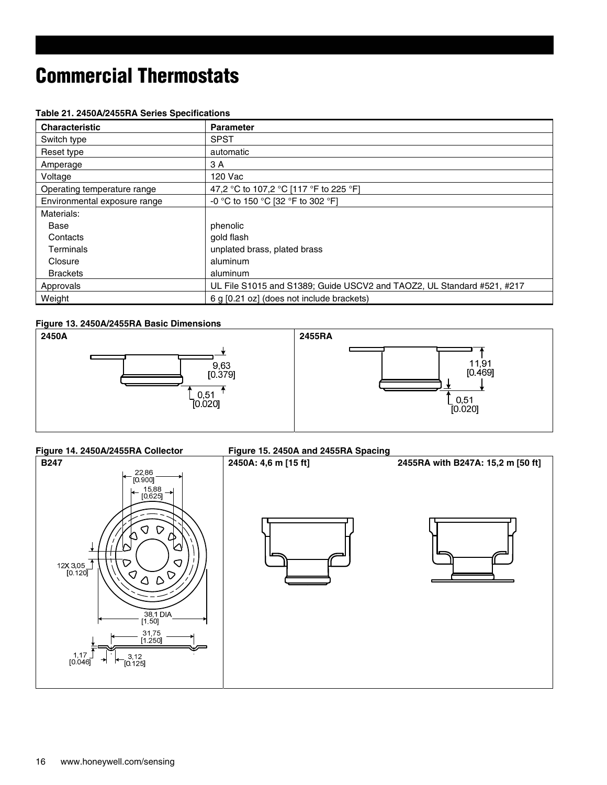| <b>Characteristic</b>        | <b>Parameter</b>                                                       |
|------------------------------|------------------------------------------------------------------------|
| Switch type                  | <b>SPST</b>                                                            |
| Reset type                   | automatic                                                              |
| Amperage                     | 3 A                                                                    |
| Voltage                      | 120 Vac                                                                |
| Operating temperature range  | 47,2 °C to 107,2 °C [117 °F to 225 °F]                                 |
| Environmental exposure range | -0 °C to 150 °C [32 °F to 302 °F]                                      |
| Materials:                   |                                                                        |
| Base                         | phenolic                                                               |
| Contacts                     | gold flash                                                             |
| Terminals                    | unplated brass, plated brass                                           |
| Closure                      | aluminum                                                               |
| <b>Brackets</b>              | aluminum                                                               |
| Approvals                    | UL File S1015 and S1389; Guide USCV2 and TAOZ2, UL Standard #521, #217 |
| Weight                       | 6 g [0.21 oz] (does not include brackets)                              |

#### **Table 21. 2450A/2455RA Series Specifications**

#### **Figure 13. 2450A/2455RA Basic Dimensions**



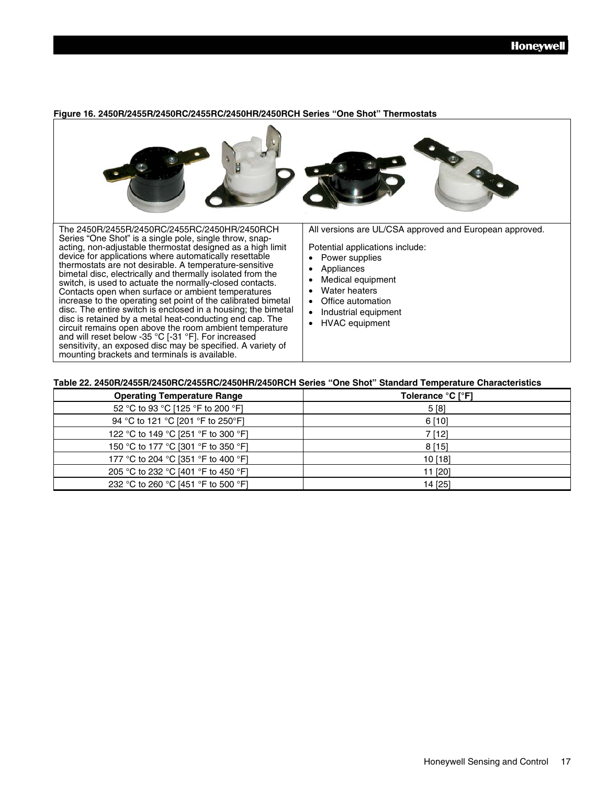

#### **Figure 16. 2450R/2455R/2450RC/2455RC/2450HR/2450RCH Series "One Shot" Thermostats**

#### **Table 22. 2450R/2455R/2450RC/2455RC/2450HR/2450RCH Series "One Shot" Standard Temperature Characteristics**

| <b>Operating Temperature Range</b>  | Tolerance °C [°F] |
|-------------------------------------|-------------------|
| 52 °C to 93 °C [125 °F to 200 °F]   | 5[8]              |
| 94 °C to 121 °C [201 °F to 250°F]   | 6[10]             |
| 122 °C to 149 °C [251 °F to 300 °F] | 7 [12]            |
| 150 °C to 177 °C [301 °F to 350 °F] | 8[15]             |
| 177 °C to 204 °C [351 °F to 400 °F] | 10 [18]           |
| 205 °C to 232 °C [401 °F to 450 °F] | 11 [20]           |
| 232 °C to 260 °C [451 °F to 500 °F] | 14 [25]           |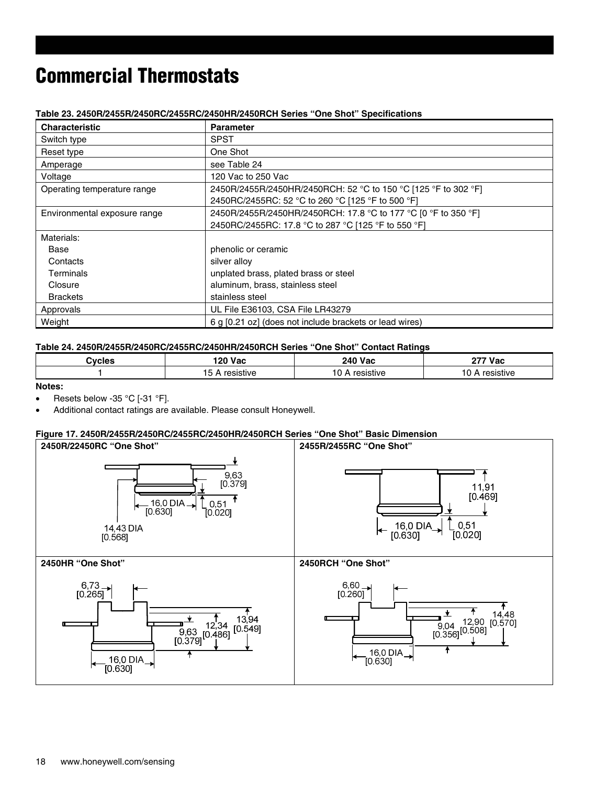| <b>Characteristic</b>        | <b>Parameter</b>                                               |
|------------------------------|----------------------------------------------------------------|
| Switch type                  | <b>SPST</b>                                                    |
| Reset type                   | One Shot                                                       |
| Amperage                     | see Table 24                                                   |
| Voltage                      | 120 Vac to 250 Vac                                             |
| Operating temperature range  | 2450R/2455R/2450HR/2450RCH: 52 °C to 150 °C [125 °F to 302 °F] |
|                              | 2450RC/2455RC: 52 °C to 260 °C [125 °F to 500 °F]              |
| Environmental exposure range | 2450R/2455R/2450HR/2450RCH: 17.8 °C to 177 °C [0 °F to 350 °F] |
|                              | 2450RC/2455RC: 17.8 °C to 287 °C [125 °F to 550 °F]            |
| Materials:                   |                                                                |
| Base                         | phenolic or ceramic                                            |
| Contacts                     | silver alloy                                                   |
| Terminals                    | unplated brass, plated brass or steel                          |
| Closure                      | aluminum, brass, stainless steel                               |
| <b>Brackets</b>              | stainless steel                                                |
| Approvals                    | UL File E36103, CSA File LR43279                               |
| Weight                       | 6 g [0.21 oz] (does not include brackets or lead wires)        |

#### **Table 23. 2450R/2455R/2450RC/2455RC/2450HR/2450RCH Series "One Shot" Specifications**

#### **Table 24. 2450R/2455R/2450RC/2455RC/2450HR/2450RCH Series "One Shot" Contact Ratings**

| - 10<br>stive | $120$ Var<br>m | <b>240 Vac</b> | Vac ידי |  |
|---------------|----------------|----------------|---------|--|
|               |                |                |         |  |

#### **Notes:**

- Resets below -35 °C [-31 °F].
- Additional contact ratings are available. Please consult Honeywell.

#### **Figure 17. 2450R/2455R/2450RC/2455RC/2450HR/2450RCH Series "One Shot" Basic Dimension**

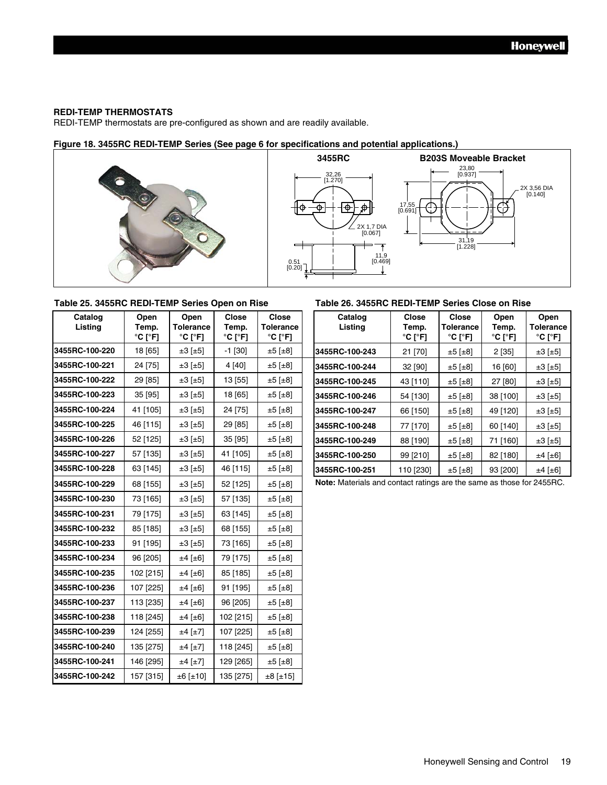#### **REDI-TEMP THERMOSTATS**

REDI-TEMP thermostats are pre-configured as shown and are readily available.

#### **Figure 18. 3455RC REDI-TEMP Series (See page 6 for specifications and potential applications.)**





#### **Table 25. 3455RC REDI-TEMP Series Open on Rise Table 26. 3455RC REDI-TEMP Series Close on Rise**

| Cataloq<br>Listing | Open<br>Open<br>Temp.<br>Tolerance<br>°C [°F]<br>°C [°F] |                     | Close<br>Temp.<br>$^{\circ}$ C [ $^{\circ}$ F] | Close<br>Tolerance<br>$^{\circ}$ C [ $^{\circ}$ F] |  |
|--------------------|----------------------------------------------------------|---------------------|------------------------------------------------|----------------------------------------------------|--|
| 3455RC-100-220     | 18 [65]                                                  | ±3 [±5]             | $-1$ [30]                                      | ±5 [±8]                                            |  |
| 3455RC-100-221     | 24 [75]                                                  | $\pm 3$ [ $\pm 5$ ] | 4 [40]                                         | ±5 [±8]                                            |  |
| 3455RC-100-222     | 29 [85]                                                  | $\pm 3$ [ $\pm 5$ ] | 13 [55]                                        | $±5$ [ $±8$ ]                                      |  |
| 3455RC-100-223     | 35 [95]                                                  | $\pm 3$ [ $\pm 5$ ] | 18 [65]                                        | $±5$ [ $±8$ ]                                      |  |
| 3455RC-100-224     | 41 [105]                                                 | $\pm 3$ [ $\pm 5$ ] | 24 [75]                                        | ±5 [±8]                                            |  |
| 3455RC-100-225     | 46 [115]                                                 | $\pm 3$ [ $\pm 5$ ] | 29 [85]                                        | ±5 [±8]                                            |  |
| 3455RC-100-226     | 52 [125]                                                 | $\pm 3$ [ $\pm 5$ ] | 35 [95]                                        | ±5 [±8]                                            |  |
| 3455RC-100-227     | 57 [135]                                                 | $\pm 3$ [ $\pm 5$ ] | 41 [105]                                       | ±5 [±8]                                            |  |
| 3455RC-100-228     | 63 [145]                                                 | ±3 [±5]             | 46 [115]                                       | ±5 [±8]                                            |  |
| 3455RC-100-229     | 68 [155]                                                 | $\pm 3$ [ $\pm 5$ ] | 52 [125]                                       | ±5 [±8]                                            |  |
| 3455RC-100-230     | 73 [165]                                                 | ±3 [±5]             | 57 [135]                                       | ±5 [±8]                                            |  |
| 3455RC-100-231     | 79 [175]                                                 | $\pm 3$ [ $\pm 5$ ] | 63 [145]                                       | ±5 [±8]                                            |  |
| 3455RC-100-232     | 85 [185]                                                 | $\pm 3$ [ $\pm 5$ ] | 68 [155]                                       | ±5 [±8]                                            |  |
| 3455RC-100-233     | 91 [195]                                                 | $\pm 3 \pm 5$       | 73 [165]                                       | $\pm 5$ [ $\pm 8$ ]                                |  |
| 3455RC-100-234     | 96 [205]                                                 | ±4 [±6]             | 79 [175]                                       | ±5 [±8]                                            |  |
| 3455RC-100-235     | 102 [215]                                                | ±4 [±6]             | 85 [185]                                       | ±5 [±8]                                            |  |
| 3455RC-100-236     | 107 [225]                                                | ±4 [±6]             | 91 [195]                                       | ±5 [±8]                                            |  |
| 3455RC-100-237     | 113 [235]                                                | ±4 [±6]             | 96 [205]                                       | $±5$ [ $±8$ ]                                      |  |
| 3455RC-100-238     | 118 [245]                                                | ±4 [±6]             | 102 [215]                                      | ±5 [±8]                                            |  |
| 3455RC-100-239     | 124 [255]                                                | ±4 [±7]             | 107 [225]                                      | ±5 [±8]                                            |  |
| 3455RC-100-240     | 135 [275]                                                | ±4 [±7]             | 118 [245]                                      | ±5 [±8]                                            |  |
| 3455RC-100-241     | 146 [295]                                                | $±4$ [ $±7$ ]       | 129 [265]                                      | $±5$ [ $±8$ ]                                      |  |
| 3455RC-100-242     | 157 [315]                                                | ±6 [±10]            | 135 [275]                                      | ±8 [±15]                                           |  |

| Catalog<br>Listing | Open<br>Temp.<br>$^{\circ}$ C [ $^{\circ}$ F] | Open<br><b>Tolerance</b><br>$^{\circ}$ C [ $^{\circ}$ F] | <b>Close</b><br>Temp.<br>$^{\circ}$ C [ $^{\circ}$ F] | <b>Close</b><br><b>Tolerance</b><br>°C [°F] | Catalog<br>Listing | <b>Close</b><br>Temp.<br>$^{\circ}$ C [ $^{\circ}$ F] | <b>Close</b><br>Tolerance<br>$^{\circ}$ C [ $^{\circ}$ F] | Open<br>Temp.<br>°C [°F] | Open<br>Tolerance<br>$^{\circ}$ C [ $^{\circ}$ F] |
|--------------------|-----------------------------------------------|----------------------------------------------------------|-------------------------------------------------------|---------------------------------------------|--------------------|-------------------------------------------------------|-----------------------------------------------------------|--------------------------|---------------------------------------------------|
| 3455RC-100-220     | 18 [65]                                       | $\pm 3$ [ $\pm 5$ ]                                      | $-1$ [30]                                             | ±5 [±8]                                     | 3455RC-100-243     | 21 [70]                                               | $\pm 5$ [ $\pm 8$ ]                                       | 2[35]                    | $\pm 3$ [ $\pm 5$ ]                               |
| 3455RC-100-221     | 24 [75]                                       | $\pm 3$ [ $\pm 5$ ]                                      | 4 [40]                                                | ±5 [±8]                                     | 3455RC-100-244     | 32 [90]                                               | $\pm 5$ [ $\pm 8$ ]                                       | 16 [60]                  | $\pm 3$ [ $\pm 5$ ]                               |
| 3455RC-100-222     | 29 [85]                                       | $\pm 3$ [ $\pm 5$ ]                                      | 13 [55]                                               | ±5 [±8]                                     | 3455RC-100-245     | 43 [110]                                              | $\pm 5$ [ $\pm 8$ ]                                       | 27 [80]                  | $\pm 3$ [ $\pm 5$ ]                               |
| 3455RC-100-223     | 35[95]                                        | $\pm 3$ [ $\pm 5$ ]                                      | 18 [65]                                               | $\pm 5$ [ $\pm 8$ ]                         | 3455RC-100-246     | 54 [130]                                              | $\pm 5$ [ $\pm 8$ ]                                       | 38 [100]                 | $\pm 3$ [ $\pm 5$ ]                               |
| 3455RC-100-224     | 41 [105]                                      | $\pm 3$ [ $\pm 5$ ]                                      | 24 [75]                                               | ±5 [±8]                                     | 3455RC-100-247     | 66 [150]                                              | $\pm 5$ [ $\pm 8$ ]                                       | 49 [120]                 | $\pm 3$ [ $\pm 5$ ]                               |
| 3455RC-100-225     | 46 [115]                                      | $\pm 3$ [ $\pm 5$ ]                                      | 29 [85]                                               | $\pm 5$ [ $\pm 8$ ]                         | 3455RC-100-248     | 77 [170]                                              | $\pm 5$ [ $\pm 8$ ]                                       | 60 [140]                 | $\pm 3$ [ $\pm 5$ ]                               |
| 3455RC-100-226     | 52 [125]                                      | $\pm 3$ [ $\pm 5$ ]                                      | 35 [95]                                               | $\pm 5$ [ $\pm 8$ ]                         | 3455RC-100-249     | 88 [190]                                              | $\pm 5$ [ $\pm 8$ ]                                       | 71 [160]                 | $\pm 3$ [ $\pm 5$ ]                               |
| 3455RC-100-227     | 57 [135]                                      | $\pm 3$ [ $\pm 5$ ]                                      | 41 [105]                                              | ±5 [±8]                                     | 3455RC-100-250     | 99 [210]                                              | $\pm 5$ [ $\pm 8$ ]                                       | 82 [180]                 | $±4$ [ $±6$ ]                                     |
| 3455RC-100-228     | 63 [145]                                      | $\pm 3$ [ $\pm 5$ ]                                      | 46 [115]                                              | ±5 [±8]                                     | 3455RC-100-251     | 110 [230]                                             | $\pm 5$ [ $\pm 8$ ]                                       | 93 [200]                 | $±4$ [ $±6$ ]                                     |

**Note:** Materials and contact ratings are the same as those for 2455RC.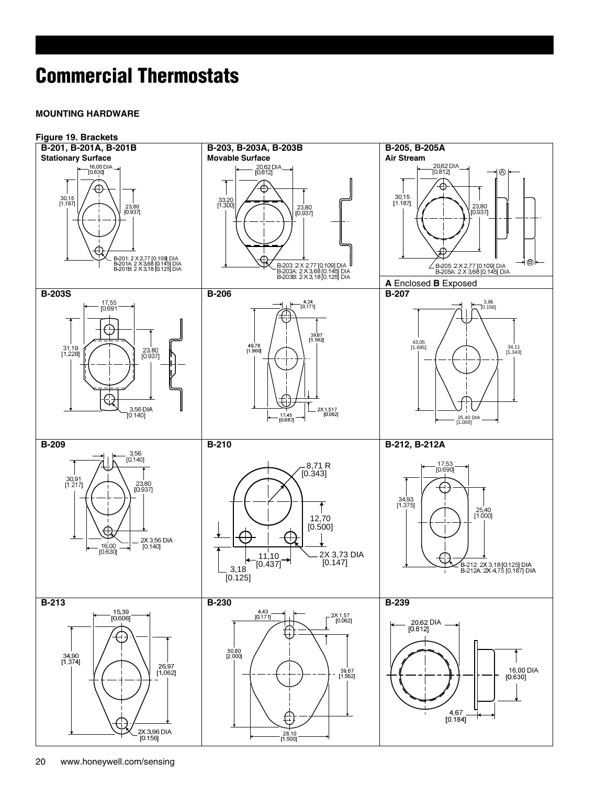#### **MOUNTING HARDWARE**

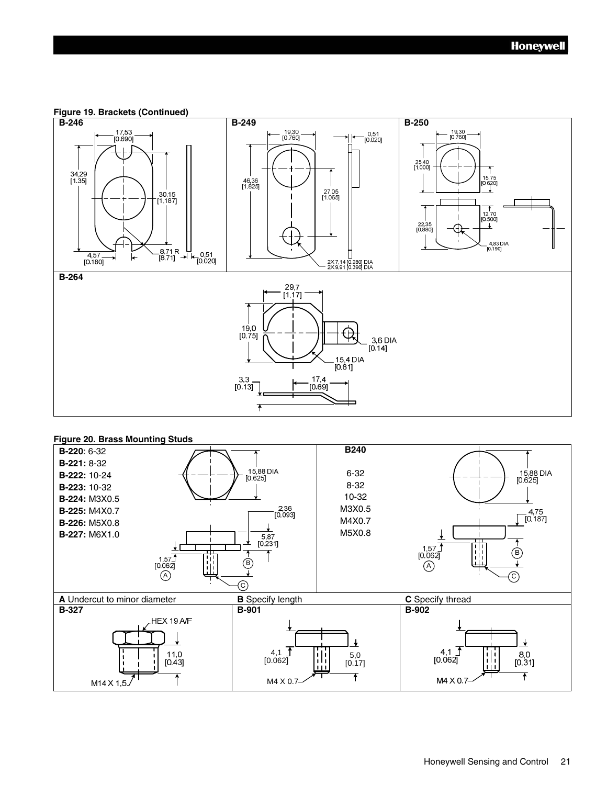**Figure 19. Brackets (Continued)** 



#### **Figure 20. Brass Mounting Studs**

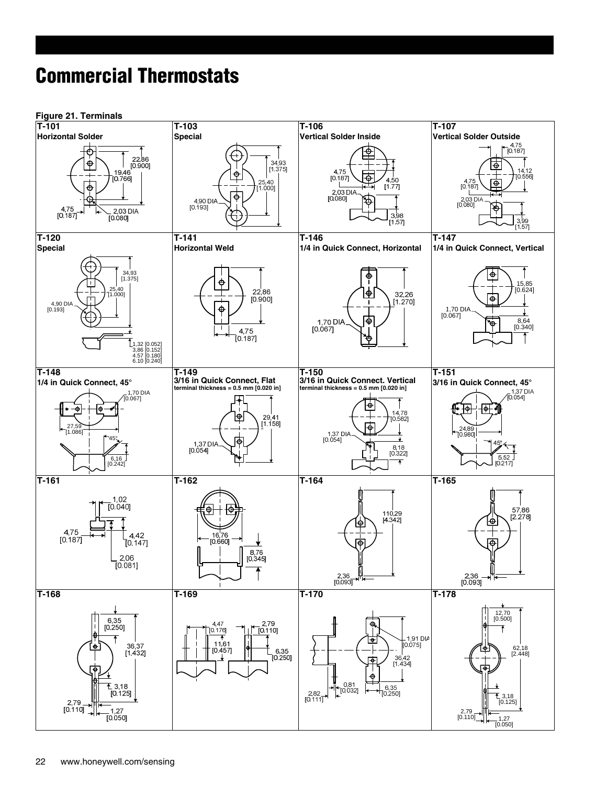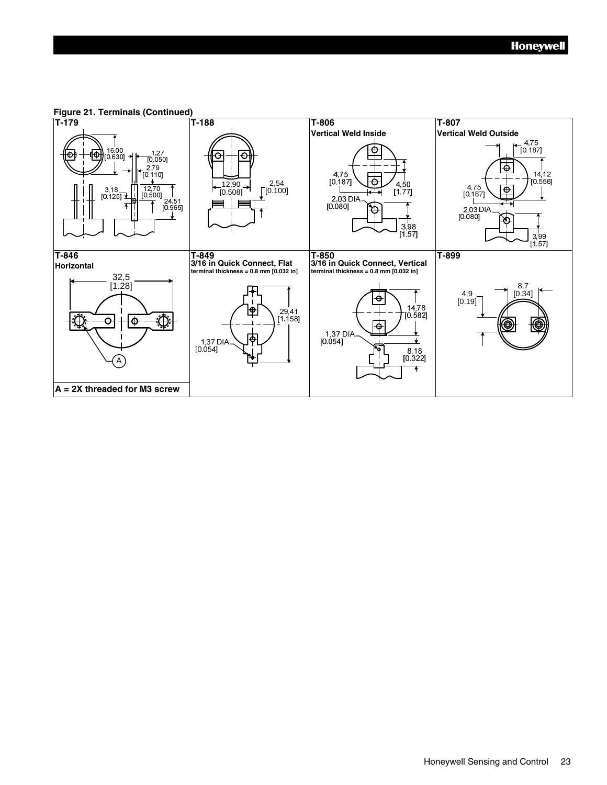

### **Figure 21. Terminals (Continued)**